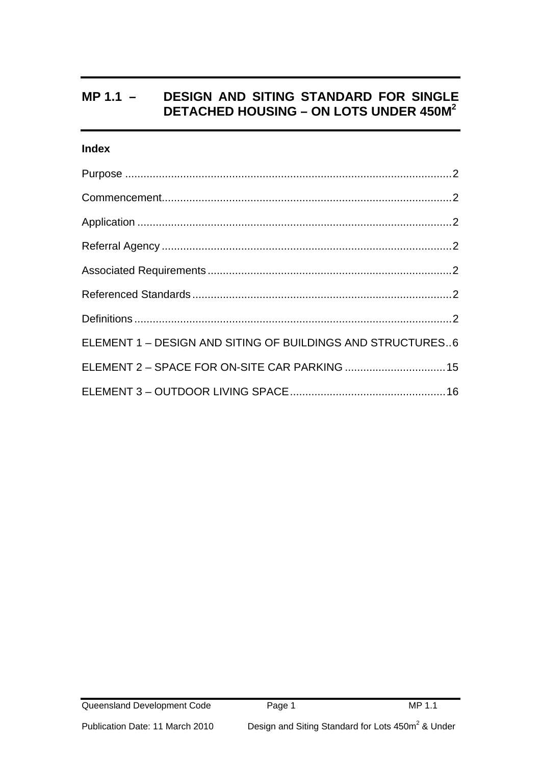# **Index**

| ELEMENT 1 - DESIGN AND SITING OF BUILDINGS AND STRUCTURES6 |  |
|------------------------------------------------------------|--|
| ELEMENT 2 - SPACE FOR ON-SITE CAR PARKING  15              |  |
|                                                            |  |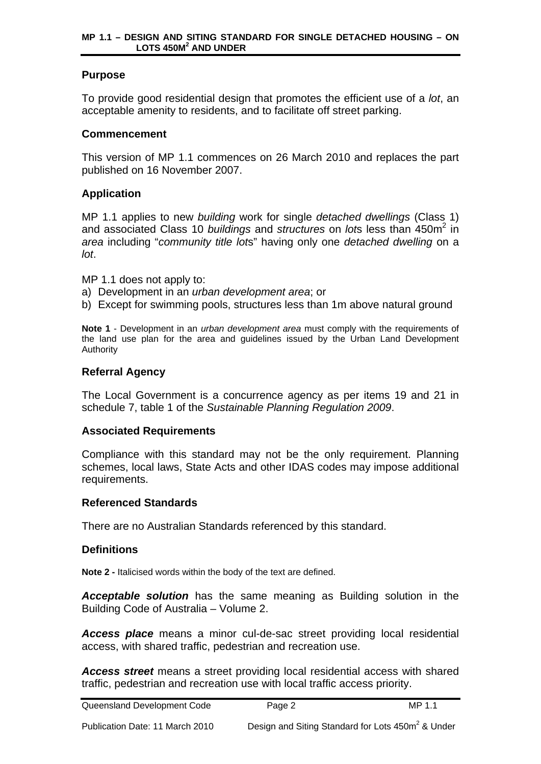## <span id="page-1-0"></span>**Purpose**

To provide good residential design that promotes the efficient use of a *lot*, an acceptable amenity to residents, and to facilitate off street parking.

## **Commencement**

This version of MP 1.1 commences on 26 March 2010 and replaces the part published on 16 November 2007.

## **Application**

MP 1.1 applies to new *building* work for single *detached dwellings* (Class 1) and associated Class 10 *buildings* and *structures* on lots less than 450m<sup>2</sup> in *area* including "*community title lot*s" having only one *detached dwelling* on a *lot*.

MP 1.1 does not apply to:

- a) Development in an *urban development area*; or
- b) Except for swimming pools, structures less than 1m above natural ground

**Note 1** - Development in an *urban development area* must comply with the requirements of the land use plan for the area and guidelines issued by the Urban Land Development Authority

## **Referral Agency**

The Local Government is a concurrence agency as per items 19 and 21 in schedule 7, table 1 of the *Sustainable Planning Regulation 2009*.

## **Associated Requirements**

Compliance with this standard may not be the only requirement. Planning schemes, local laws, State Acts and other IDAS codes may impose additional requirements.

## **Referenced Standards**

There are no Australian Standards referenced by this standard.

## **Definitions**

**Note 2 -** Italicised words within the body of the text are defined.

*Acceptable solution* has the same meaning as Building solution in the Building Code of Australia – Volume 2.

*Access place* means a minor cul-de-sac street providing local residential access, with shared traffic, pedestrian and recreation use.

*Access street* means a street providing local residential access with shared traffic, pedestrian and recreation use with local traffic access priority.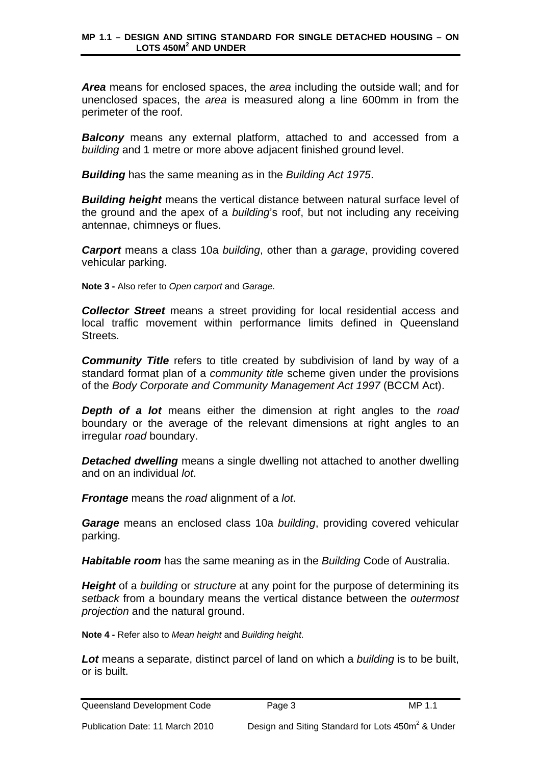*Area* means for enclosed spaces, the *area* including the outside wall; and for unenclosed spaces, the *area* is measured along a line 600mm in from the perimeter of the roof.

*Balcony* means any external platform, attached to and accessed from a *building* and 1 metre or more above adjacent finished ground level.

*Building* has the same meaning as in the *Building Act 1975*.

*Building height* means the vertical distance between natural surface level of the ground and the apex of a *building*'s roof, but not including any receiving antennae, chimneys or flues.

*Carport* means a class 10a *building*, other than a *garage*, providing covered vehicular parking.

**Note 3 -** Also refer to *Open carport* and *Garage.*

*Collector Street* means a street providing for local residential access and local traffic movement within performance limits defined in Queensland Streets.

*Community Title* refers to title created by subdivision of land by way of a standard format plan of a *community title* scheme given under the provisions of the *Body Corporate and Community Management Act 1997* (BCCM Act).

*Depth of a lot* means either the dimension at right angles to the *road* boundary or the average of the relevant dimensions at right angles to an irregular *road* boundary.

*Detached dwelling* means a single dwelling not attached to another dwelling and on an individual *lot*.

*Frontage* means the *road* alignment of a *lot*.

*Garage* means an enclosed class 10a *building*, providing covered vehicular parking.

*Habitable room* has the same meaning as in the *Building* Code of Australia.

*Height* of a *building* or *structure* at any point for the purpose of determining its *setback* from a boundary means the vertical distance between the *outermost projection* and the natural ground.

**Note 4 -** Refer also to *Mean height* and *Building height*.

*Lot* means a separate, distinct parcel of land on which a *building* is to be built, or is built.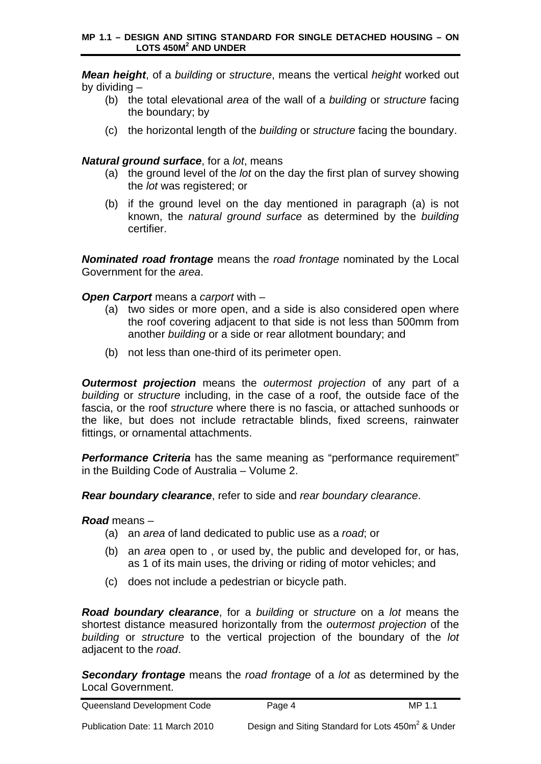*Mean height*, of a *building* or *structure*, means the vertical *height* worked out by dividing –

- (b) the total elevational *area* of the wall of a *building* or *structure* facing the boundary; by
- (c) the horizontal length of the *building* or *structure* facing the boundary.

# *Natural ground surface*, for a *lot*, means

- (a) the ground level of the *lot* on the day the first plan of survey showing the *lot* was registered; or
- (b) if the ground level on the day mentioned in paragraph (a) is not known, the *natural ground surface* as determined by the *building* certifier.

*Nominated road frontage* means the *road frontage* nominated by the Local Government for the *area*.

## *Open Carport* means a *carport* with –

- (a) two sides or more open, and a side is also considered open where the roof covering adjacent to that side is not less than 500mm from another *building* or a side or rear allotment boundary; and
- (b) not less than one-third of its perimeter open.

*Outermost projection* means the *outermost projection* of any part of a *building* or *structure* including, in the case of a roof, the outside face of the fascia, or the roof *structure* where there is no fascia, or attached sunhoods or the like, but does not include retractable blinds, fixed screens, rainwater fittings, or ornamental attachments.

*Performance Criteria* has the same meaning as "performance requirement" in the Building Code of Australia – Volume 2.

*Rear boundary clearance*, refer to side and *rear boundary clearance*.

*Road* means –

- (a) an *area* of land dedicated to public use as a *road*; or
- (b) an *area* open to , or used by, the public and developed for, or has, as 1 of its main uses, the driving or riding of motor vehicles; and
- (c) does not include a pedestrian or bicycle path.

*Road boundary clearance*, for a *building* or *structure* on a *lot* means the shortest distance measured horizontally from the *outermost projection* of the *building* or *structure* to the vertical projection of the boundary of the *lot* adjacent to the *road*.

*Secondary frontage* means the *road frontage* of a *lot* as determined by the Local Government.

Queensland Development Code Page 4 MP 1.1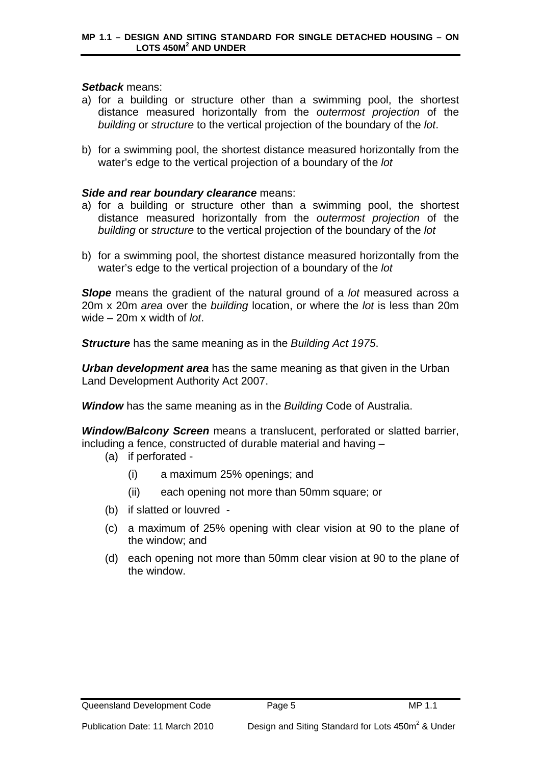## *Setback* means:

- a) for a building or structure other than a swimming pool, the shortest distance measured horizontally from the *outermost projection* of the *building* or *structure* to the vertical projection of the boundary of the *lot*.
- b) for a swimming pool, the shortest distance measured horizontally from the water's edge to the vertical projection of a boundary of the *lot*

## *Side and rear boundary clearance* means:

- a) for a building or structure other than a swimming pool, the shortest distance measured horizontally from the *outermost projection* of the *building* or *structure* to the vertical projection of the boundary of the *lot*
- b) for a swimming pool, the shortest distance measured horizontally from the water's edge to the vertical projection of a boundary of the *lot*

*Slope* means the gradient of the natural ground of a *lot* measured across a 20m x 20m *area* over the *building* location, or where the *lot* is less than 20m wide – 20m x width of *lot*.

*Structure* has the same meaning as in the *Building Act 1975*.

*Urban development area* has the same meaning as that given in the Urban Land Development Authority Act 2007.

*Window* has the same meaning as in the *Building* Code of Australia.

*Window/Balcony Screen* means a translucent, perforated or slatted barrier, including a fence, constructed of durable material and having –

- (a) if perforated
	- (i) a maximum 25% openings; and
	- (ii) each opening not more than 50mm square; or
- (b) if slatted or louvred -
- (c) a maximum of 25% opening with clear vision at 90 to the plane of the window; and
- (d) each opening not more than 50mm clear vision at 90 to the plane of the window.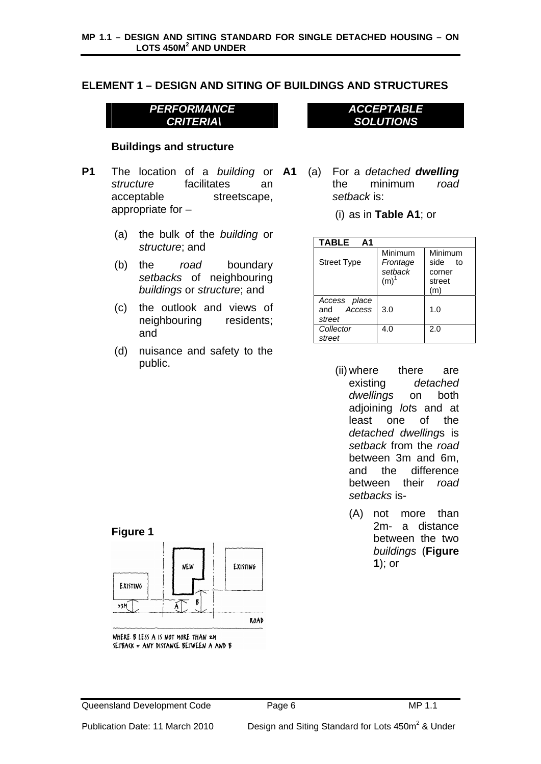# <span id="page-5-0"></span>**ELEMENT 1 – DESIGN AND SITING OF BUILDINGS AND STRUCTURES**

*PERFORMANCE CRITERIA\*

## **Buildings and structure**

- **P1** The location of a *building* or **A1**  *structure* facilitates an acceptable streetscape, appropriate for –
	- (a) the bulk of the *building* or *structure*; and
	- (b) the *road* boundary *setbacks* of neighbouring *buildings* or *structure*; and
	- (c) the outlook and views of neighbouring residents; and
	- (d) nuisance and safety to the public.

*ACCEPTABLE SOLUTIONS*

- (a) For a *detached dwelling* the minimum *road setback* is:
	- (i) as in **Table A1**; or

| TABLE A1                             |                                       |                                               |
|--------------------------------------|---------------------------------------|-----------------------------------------------|
| <b>Street Type</b>                   | Minimum<br>Frontage<br>setback<br>(m) | Minimum<br>side to<br>corner<br>street<br>(m) |
| Access place<br>and Access<br>street | 3.0                                   | 1.0                                           |
| Collector<br>street                  | 4.0                                   | 2.0                                           |

- (ii) where there are existing *detached dwellings* on both adjoining *lot*s and at least one of the *detached dwelling*s is *setback* from the *road* between 3m and 6m, and the difference between their *road setbacks* is-
	- (A) not more than 2m- a distance between the two *buildings* (**Figure 1**); or

## **Figure 1**



WHERE B LESS A IS NOT MORE THAN 2M SETBACK = ANY DISTANCE BETWEEN A AND B

Queensland Development Code Page 6 MP 1.1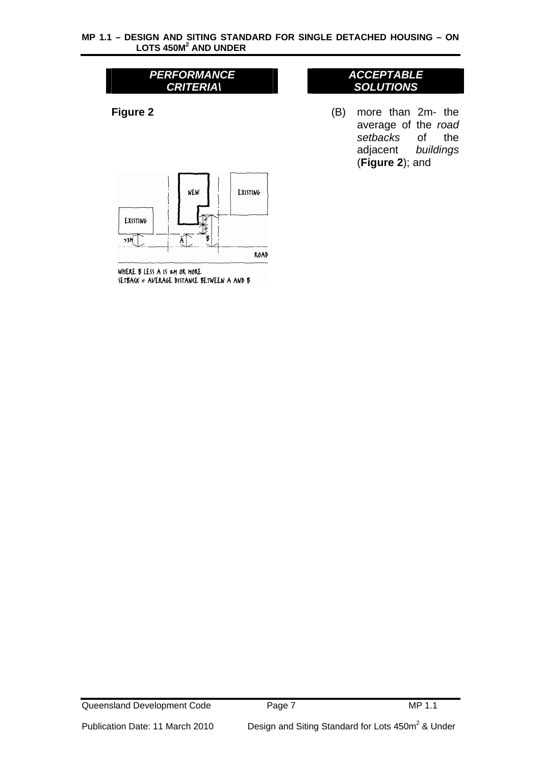*ACCEPTABLE SOLUTIONS*

(B) more than 2m- the average of the *road setbacks* of the adjacent *buildings*

(**Figure 2**); and



WHERE B LESS A IS 2M OR MORE SETBACK = AVERAGE DISTANCE BETWEEN A AND B

### Queensland Development Code Page 7 Page 7 MP 1.1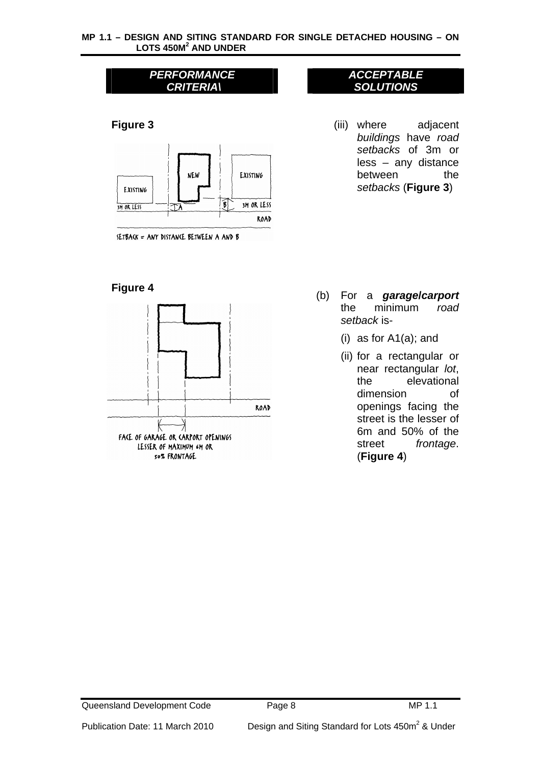

SETBACK = ANY DISTANCE BETWEEN A AND B

## **Figure 4**



## *ACCEPTABLE SOLUTIONS*

(iii) where adjacent *buildings* have *road setbacks* of 3m or less – any distance between the *setbacks* (**Figure 3**)

- (b) For a *garagel carport* the minimum *road setback* is-
	- (i) as for A1(a); and
	- (ii) for a rectangular or near rectangular *lot*, the elevational dimension of openings facing the street is the lesser of 6m and 50% of the street *frontage*. (**Figure 4**)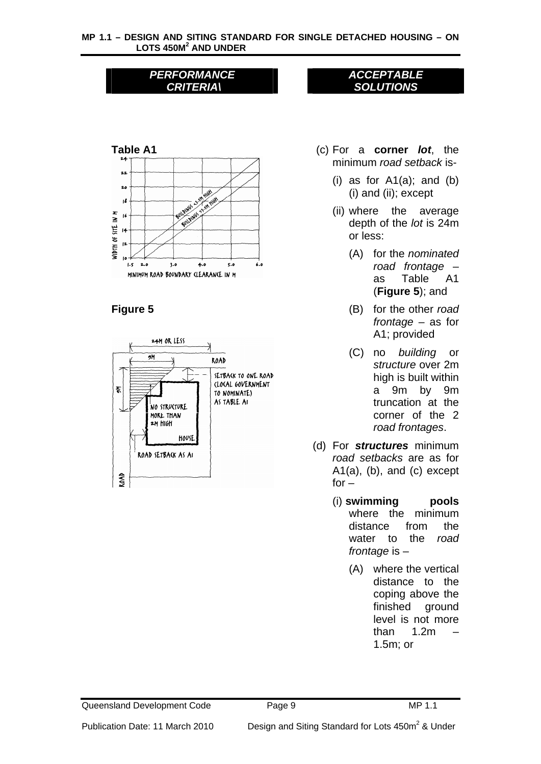

# **Figure 5**



## *ACCEPTABLE SOLUTIONS*

- (c) For a **corner** *lot*, the minimum *road setback* is-
	- (i) as for  $A1(a)$ ; and  $(b)$ (i) and (ii); except
	- (ii) where the average depth of the *lot* is 24m or less:
		- (A) for the *nominated road frontage* – as Table A1 (**Figure 5**); and
		- (B) for the other *road frontage* – as for A1; provided
		- (C) no *building* or *structure* over 2m high is built within a 9m by 9m truncation at the corner of the 2 *road frontages*.
- (d) For *structures* minimum *road setbacks* are as for  $A1(a)$ , (b), and (c) except  $for -$ 
	- (i) **swimming pools** where the minimum distance from the water to the *road frontage* is –
		- (A) where the vertical distance to the coping above the finished ground level is not more than 1.2m – 1.5m; or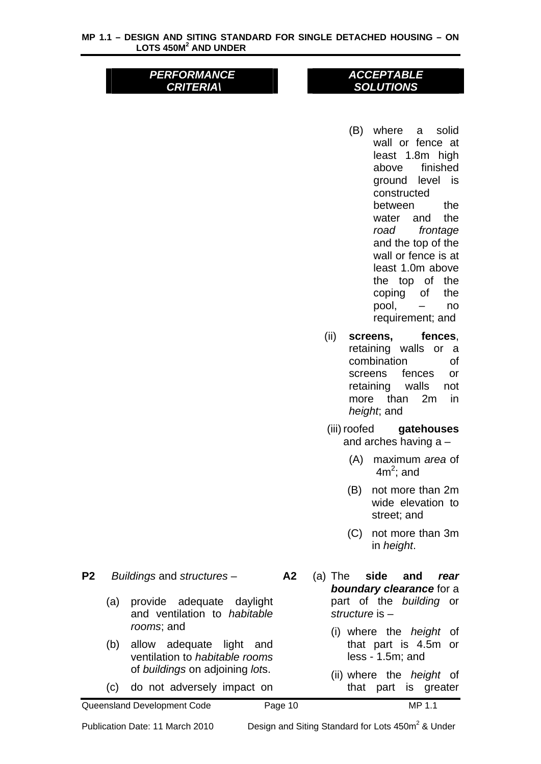## *ACCEPTABLE SOLUTIONS*

- (B) where a solid wall or fence at least 1.8m high above finished ground level is constructed between the water and the *road frontage* and the top of the wall or fence is at least 1.0m above the top of the coping of the pool, – no requirement; and
- (ii) **screens, fences**, retaining walls or a combination of screens fences or retaining walls not more than 2m in *height*; and
- (iii) roofed **gatehouses** and arches having a –
	- (A) maximum *area* of  $4m^2$ ; and
	- (B) not more than 2m wide elevation to street; and
	- (C) not more than 3m in *height*.

- **P2** *Buildings* and *structures*
	- (a) provide adequate daylight and ventilation to *habitable rooms*; and
	- (b) allow adequate light and ventilation to *habitable rooms* of *buildings* on adjoining *lot*s.
	- (c) do not adversely impact on
- **A2** (a) The **side and** *rear boundary clearance* for a part of the *building* or *structure* is –
	- (i) where the *height* of that part is 4.5m or less - 1.5m; and
	- (ii) where the *height* of that part is greater

Publication Date: 11 March 2010 Design and Siting Standard for Lots 450m<sup>2</sup> & Under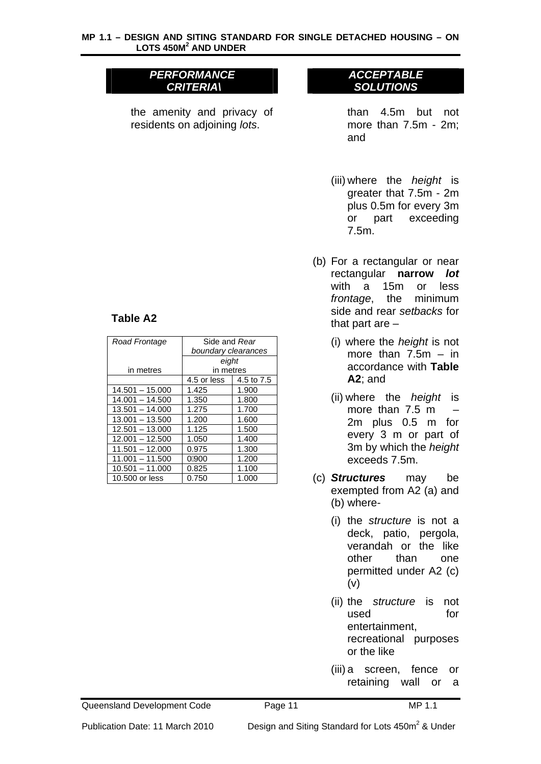the amenity and privacy of residents on adjoining *lots*.

## *ACCEPTABLE SOLUTIONS*

than 4.5m but not more than 7.5m - 2m; and

- (iii) where the *height* is greater that 7.5m - 2m plus 0.5m for every 3m or part exceeding 7.5m.
- (b) For a rectangular or near rectangular **narrow** *lot* with a 15m or less *frontage*, the minimum side and rear *setbacks* for that part are  $-$ 
	- (i) where the *height* is not more than  $7.5m - in$ accordance with **Table A2**; and
	- (ii) where the *height* is more than  $7.5 \text{ m}$  – 2m plus 0.5 m for every 3 m or part of 3m by which the *height* exceeds 7.5m.
- (c) *Structures* may be exempted from A2 (a) and (b) where-
	- (i) the *structure* is not a deck, patio, pergola, verandah or the like other than one permitted under A2 (c) (v)
	- (ii) the *structure* is not used for entertainment, recreational purposes or the like
	- (iii) a screen, fence or retaining wall or a

Publication Date: 11 March 2010 Design and Siting Standard for Lots 450m<sup>2</sup> & Under

## **Table A2**

| Road Frontage     | Side and Rear       |            |  |
|-------------------|---------------------|------------|--|
|                   | boundary clearances |            |  |
|                   | eight               |            |  |
| in metres         | in metres           |            |  |
|                   | 4.5 or less         | 4.5 to 7.5 |  |
| $14.501 - 15.000$ | 1.425               | 1.900      |  |
| $14.001 - 14.500$ | 1.350               | 1.800      |  |
| $13.501 - 14.000$ | 1.275               | 1.700      |  |
| $13.001 - 13.500$ | 1.200               | 1.600      |  |
| $12.501 - 13.000$ | 1.125               | 1.500      |  |
| $12.001 - 12.500$ | 1.050               | 1.400      |  |
| $11.501 - 12.000$ | 0.975               | 1.300      |  |
| $11.001 - 11.500$ | 0900                | 1.200      |  |
| $10.501 - 11.000$ | 0.825               | 1.100      |  |
| 10,500 or less    | 0.750               | 1.000      |  |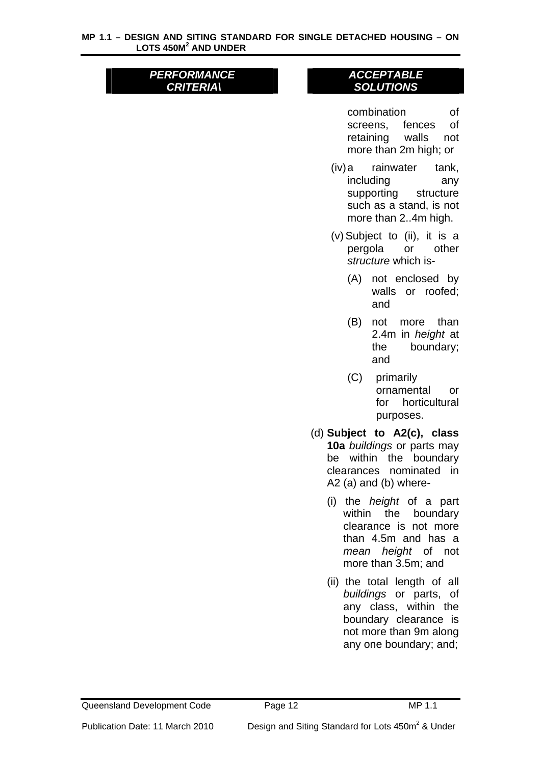# *ACCEPTABLE SOLUTIONS*

combination of screens, fences of retaining walls not more than 2m high; or

- (iv) a rainwater tank, including any supporting structure such as a stand, is not more than 2..4m high.
- (v) Subject to (ii), it is a pergola or other *structure* which is-
	- (A) not enclosed by walls or roofed; and
	- (B) not more than 2.4m in *height* at the boundary; and
	- (C) primarily ornamental or for horticultural purposes.
- (d) **Subject to A2(c), class 10a** *buildings* or parts may be within the boundary clearances nominated in A2 (a) and (b) where-
	- (i) the *height* of a part within the boundary clearance is not more than 4.5m and has a *mean height* of not more than 3.5m; and
	- (ii) the total length of all *buildings* or parts, of any class, within the boundary clearance is not more than 9m along any one boundary; and;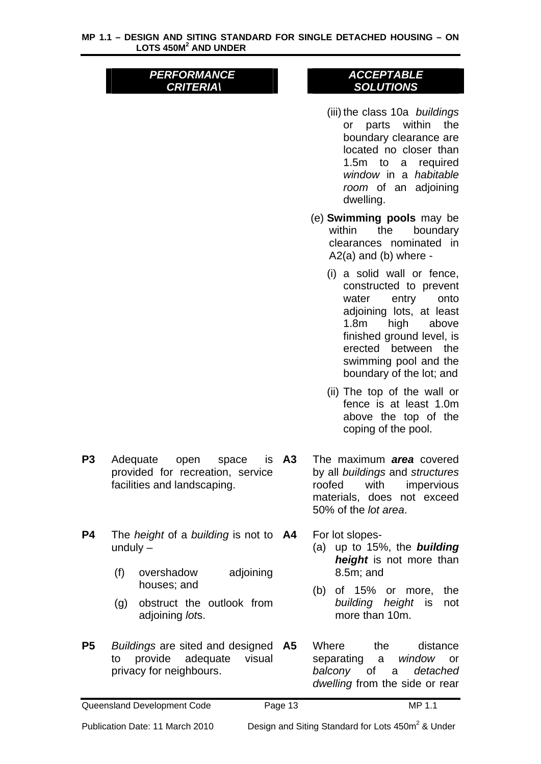## *ACCEPTABLE SOLUTIONS*

(iii) the class 10a *buildings* or parts within the boundary clearance are located no closer than 1.5m to a required *window* in a *habitable room* of an adjoining dwelling.

(e) **Swimming pools** may be within the boundary clearances nominated in A2(a) and (b) where -

- (i) a solid wall or fence, constructed to prevent water entry onto adjoining lots, at least 1.8m high above finished ground level, is erected between the swimming pool and the boundary of the lot; and
- (ii) The top of the wall or fence is at least 1.0m above the top of the coping of the pool.
- P3 Adequate open space is A3 provided for recreation, service facilities and landscaping.
- **P4** The *height* of a *building* is not to unduly –
	- (f) overshadow adjoining houses; and
	- (g) obstruct the outlook from adjoining *lot*s.
- **P5** *Buildings* are sited and designed to provide adequate visual privacy for neighbours.

**A3** The maximum *area* covered by all *buildings* and *structures* roofed with impervious materials, does not exceed 50% of the *lot area*.

For lot slopes-

- (a) up to 15%, the *building height* is not more than 8.5m; and
- (b) of 15% or more, the *building height* is not more than 10m.
- Where the distance separating a *window* or *balcony* of a *detached dwelling* from the side or rear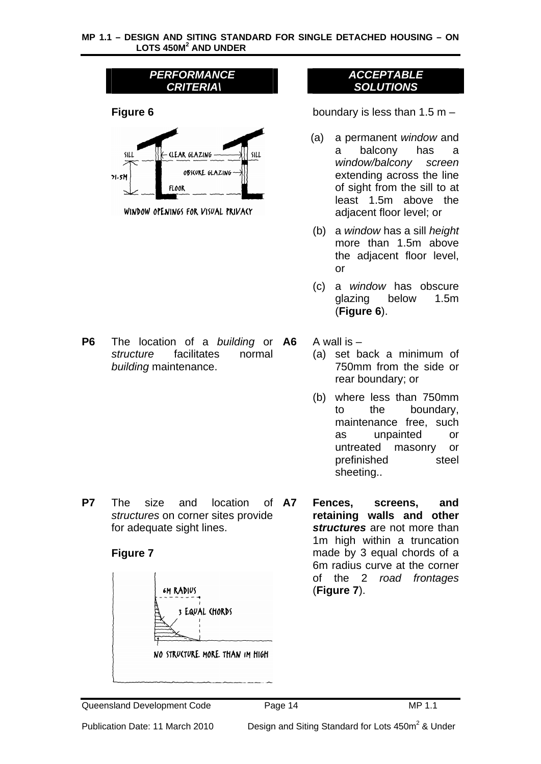| PERFORMANCE      |
|------------------|
| <b>CRITERIA\</b> |
|                  |



WINDOW OPENINGS FOR VISUAL PRIVACY

**P6** The location of a *building* or *structure* facilitates normal *building* maintenance.

*ACCEPTABLE SOLUTIONS*

**Figure 6 boundary is less than 1.5 m –** 

- (a) a permanent *window* and a balcony has a *window/balcony screen* extending across the line of sight from the sill to at least 1.5m above the adjacent floor level; or
- (b) a *window* has a sill *height* more than 1.5m above the adjacent floor level, or
- (c) a *window* has obscure glazing below 1.5m (**Figure 6**).
- **A6** A wall is
	- (a) set back a minimum of 750mm from the side or rear boundary; or
	- (b) where less than 750mm to the boundary, maintenance free, such as unpainted or untreated masonry or prefinished steel sheeting..
- **P7** The size and location of A7 *structures* on corner sites provide for adequate sight lines.

# **Figure 7**



**A7 Fences, screens, and retaining walls and other**  *structures* are not more than 1m high within a truncation made by 3 equal chords of a 6m radius curve at the corner of the 2 *road frontages* (**Figure 7**).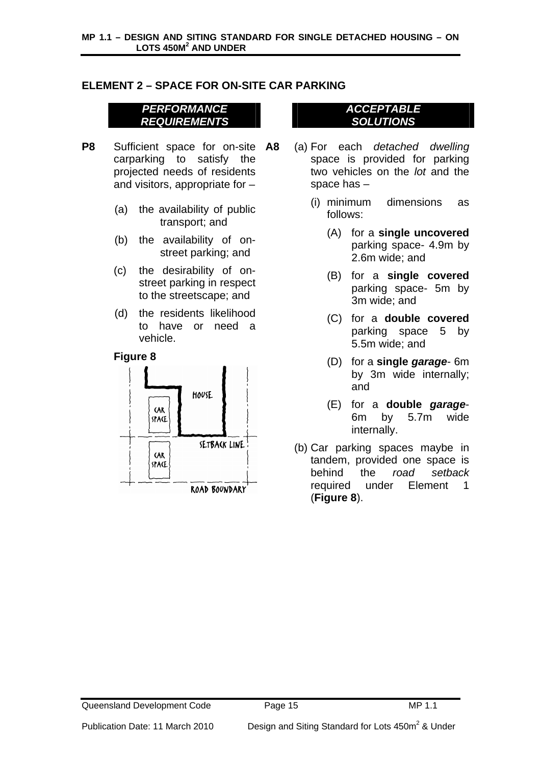# <span id="page-14-0"></span>**ELEMENT 2 – SPACE FOR ON-SITE CAR PARKING**

## *PERFORMANCE REQUIREMENTS*

- **P8** Sufficient space for on-site A8 carparking to satisfy the projected needs of residents and visitors, appropriate for –
	- (a) the availability of public transport; and
	- (b) the availability of onstreet parking; and
	- (c) the desirability of onstreet parking in respect to the streetscape; and
	- (d) the residents likelihood to have or need a vehicle.

## **Figure 8**



## *ACCEPTABLE SOLUTIONS*

- **A8** (a) For each *detached dwelling* space is provided for parking two vehicles on the *lot* and the space has –
	- (i) minimum dimensions as follows:
		- (A) for a **single uncovered** parking space- 4.9m by 2.6m wide; and
		- (B) for a **single covered** parking space- 5m by 3m wide; and
		- (C) for a **double covered** parking space 5 by 5.5m wide; and
		- (D) for a **single** *garage* 6m by 3m wide internally; and
		- (E) for a **double** *garage*-6m by 5.7m wide internally.
	- (b) Car parking spaces maybe in tandem, provided one space is behind the *road setback* required under Element 1 (**Figure 8**).